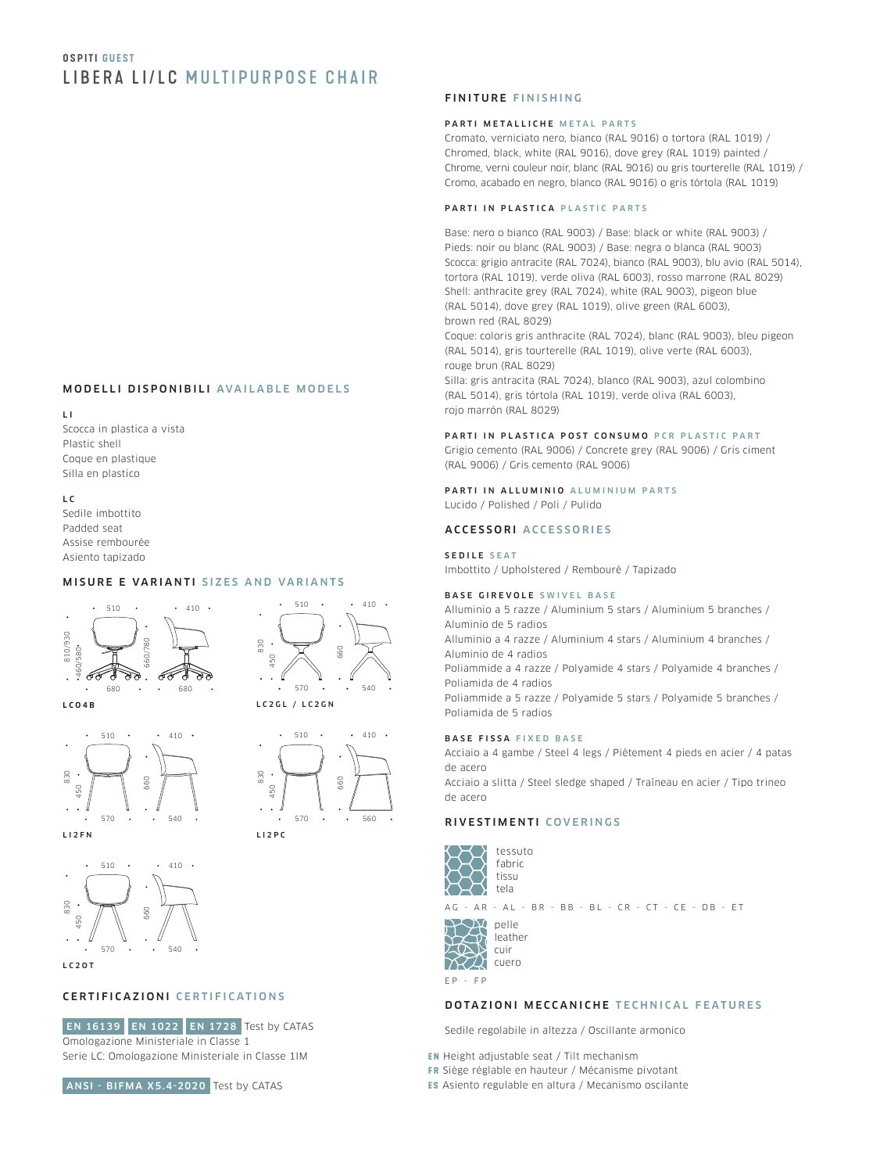# **OSPITI GUEST** LIBERA LI/LC MULTIPURPOSE CHAIR

# MODELLI DISPONIBILI AVAILABLE MODELS

L I Scocca in plastica a vista Plastic shell Coque en plastique Silla en plastico

L C Sedile imbottito Padded seat Assise rembourée Asiento tapizado

#### MISURE E VARIANTI SIZES AND VARIANTS



 $510 \cdot 410 \cdot$ 330 660 150 6  $570 \cdot \cdot \cdot 540$ 

LCO4B







 $112PC$ 

LC<sub>20</sub>T

# CERTIFICAZIONI CERTIFICATIONS

 EN 16139 EN 1022 EN 1728 Test by CATAS Omologazione Ministeriale in Classe 1 Serie LC: Omologazione Ministeriale in Classe 1IM



 $570 \cdot \cdot \cdot 560$ 

tessuto fabric

AG - AR - AL - BR - BB - BL - CR - CT - CE - DB - ET

 $\overline{\mathcal{L}}$ pelle  $T\rightarrow Y$ cuir 797 XX cuero

EP - FP

# DOTAZIONI MECCANICHE TECHNICAL FEATURES

Sedile regolabile in altezza / Oscillante armonico

**EN** Height adjustable seat / Tilt mechanism

- **FR** Siège réglable en hauteur / Mécanisme pivotant
- **ES** Asiento regulable en altura / Mecanismo oscilante

# FINITURE FINISHING

#### PARTI METALLICHE METAL PARTS

Cromato, verniciato nero, bianco (RAL 9016) o tortora (RAL 1019) / Chromed, black, white (RAL 9016), dove grey (RAL 1019) painted / Chrome, verni couleur noir, blanc (RAL 9016) ou gris tourterelle (RAL 1019) / Cromo, acabado en negro, blanco (RAL 9016) o gris tórtola (RAL 1019)

#### PARTI IN PLASTICA PLASTIC PARTS

Base: nero o bianco (RAL 9003) / Base: black or white (RAL 9003) / Pieds: noir ou blanc (RAL 9003) / Base: negra o blanca (RAL 9003) Scocca: grigio antracite (RAL 7024), bianco (RAL 9003), blu avio (RAL 5014), tortora (RAL 1019), verde oliva (RAL 6003), rosso marrone (RAL 8029) Shell: anthracite grey (RAL 7024), white (RAL 9003), pigeon blue (RAL 5014), dove grey (RAL 1019), olive green (RAL 6003), brown red (RAL 8029)

Coque: coloris gris anthracite (RAL 7024), blanc (RAL 9003), bleu pigeon (RAL 5014), gris tourterelle (RAL 1019), olive verte (RAL 6003), rouge brun (RAL 8029)

Silla: gris antracita (RAL 7024), blanco (RAL 9003), azul colombino (RAL 5014), gris tórtola (RAL 1019), verde oliva (RAL 6003), rojo marrón (RAL 8029)

## PARTI IN PLASTICA POST CONSUMO PCR PLASTIC PART

Grigio cemento (RAL 9006) / Concrete grey (RAL 9006) / Gris ciment (RAL 9006) / Gris cemento (RAL 9006)

PARTI IN ALLUMINIO ALUMINIUM PARTS Lucido / Polished / Poli / Pulido

# ACCESSORI ACCESSORIES

SEDILE SEAT

Imbottito / Upholstered / Rembouré / Tapizado

#### BASE GIREVOLE SWIVEL BASE

Alluminio a 5 razze / Aluminium 5 stars / Aluminium 5 branches / Aluminio de 5 radios Alluminio a 4 razze / Aluminium 4 stars / Aluminium 4 branches / Aluminio de 4 radios Poliammide a 4 razze / Polyamide 4 stars / Polyamide 4 branches / Poliamida de 4 radios Poliammide a 5 razze / Polyamide 5 stars / Polyamide 5 branches / Poliamida de 5 radios

## BASE FISSA FIXED BASE

Acciaio a 4 gambe / Steel 4 legs / Piètement 4 pieds en acier / 4 patas de acero

Acciaio a slitta / Steel sledge shaped / Traîneau en acier / Tipo trineo de acero

# RIVESTIMENTI COVERINGS



leather

ANSI - BIFMA X5.4-2020 Test by CATAS